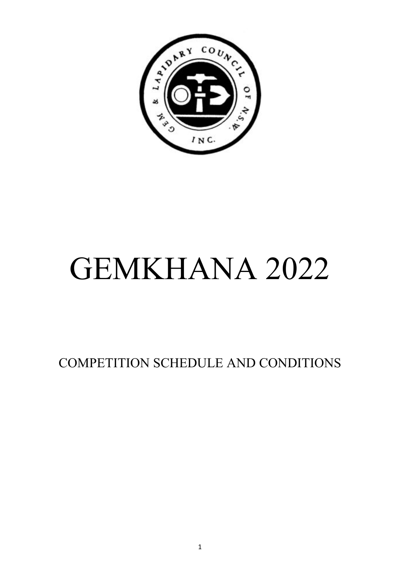

COMPETITION SCHEDULE AND CONDITIONS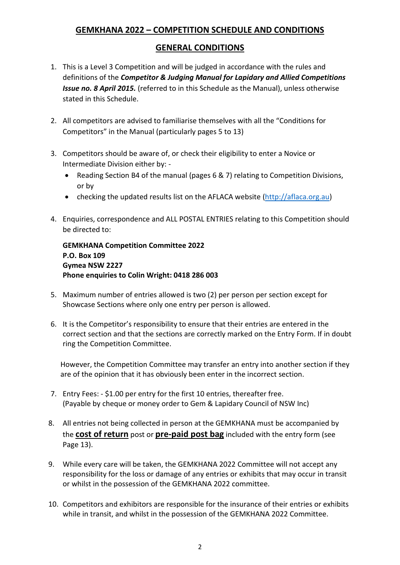# **GEMKHANA 2022 – COMPETITION SCHEDULE AND CONDITIONS**

#### **GENERAL CONDITIONS**

- 1. This is a Level 3 Competition and will be judged in accordance with the rules and definitions of the *Competitor & Judging Manual for Lapidary and Allied Competitions Issue no. 8 April 2015.* (referred to in this Schedule as the Manual), unless otherwise stated in this Schedule.
- 2. All competitors are advised to familiarise themselves with all the "Conditions for Competitors" in the Manual (particularly pages 5 to 13)
- 3. Competitors should be aware of, or check their eligibility to enter a Novice or Intermediate Division either by: -
	- Reading Section B4 of the manual (pages 6 & 7) relating to Competition Divisions, or by
	- checking the updated results list on the AFLACA website [\(http://aflaca.org.au\)](http://aflaca.org.au/)
- 4. Enquiries, correspondence and ALL POSTAL ENTRIES relating to this Competition should be directed to:

**GEMKHANA Competition Committee 2022 P.O. Box 109 Gymea NSW 2227 Phone enquiries to Colin Wright: 0418 286 003**

- 5. Maximum number of entries allowed is two (2) per person per section except for Showcase Sections where only one entry per person is allowed.
- 6. It is the Competitor's responsibility to ensure that their entries are entered in the correct section and that the sections are correctly marked on the Entry Form. If in doubt ring the Competition Committee.

However, the Competition Committee may transfer an entry into another section if they are of the opinion that it has obviously been enter in the incorrect section.

- 7. Entry Fees: \$1.00 per entry for the first 10 entries, thereafter free. (Payable by cheque or money order to Gem & Lapidary Council of NSW Inc)
- 8. All entries not being collected in person at the GEMKHANA must be accompanied by the **cost of return** post or **pre-paid post bag** included with the entry form (see Page 13).
- 9. While every care will be taken, the GEMKHANA 2022 Committee will not accept any responsibility for the loss or damage of any entries or exhibits that may occur in transit or whilst in the possession of the GEMKHANA 2022 committee.
- 10. Competitors and exhibitors are responsible for the insurance of their entries or exhibits while in transit, and whilst in the possession of the GEMKHANA 2022 Committee.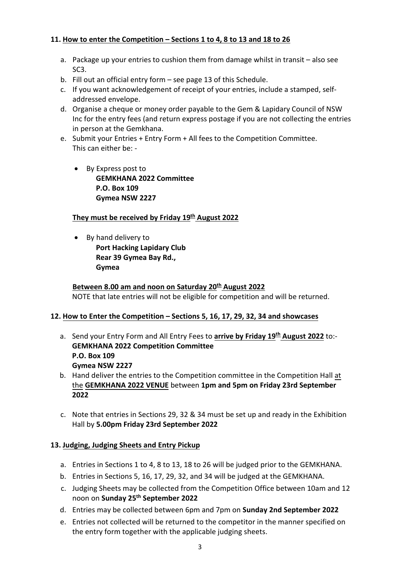#### **11. How to enter the Competition – Sections 1 to 4, 8 to 13 and 18 to 26**

- a. Package up your entries to cushion them from damage whilst in transit also see SC3.
- b. Fill out an official entry form see page 13 of this Schedule.
- c. If you want acknowledgement of receipt of your entries, include a stamped, selfaddressed envelope.
- d. Organise a cheque or money order payable to the Gem & Lapidary Council of NSW Inc for the entry fees (and return express postage if you are not collecting the entries in person at the Gemkhana.
- e. Submit your Entries + Entry Form + All fees to the Competition Committee. This can either be: -
	- By Express post to **GEMKHANA 2022 Committee P.O. Box 109 Gymea NSW 2227**

#### **They must be received by Friday 19th August 2022**

• By hand delivery to

**Port Hacking Lapidary Club Rear 39 Gymea Bay Rd., Gymea**

**Between 8.00 am and noon on Saturday 20th August 2022** NOTE that late entries will not be eligible for competition and will be returned.

#### **12. How to Enter the Competition – Sections 5, 16, 17, 29, 32, 34 and showcases**

- a. Send your Entry Form and All Entry Fees to **arrive by Friday 19 th August 2022** to:- **GEMKHANA 2022 Competition Committee P.O. Box 109 Gymea NSW 2227**
- b. Hand deliver the entries to the Competition committee in the Competition Hall at the **GEMKHANA 2022 VENUE** between **1pm and 5pm on Friday 23rd September 2022**
- c. Note that entries in Sections 29, 32 & 34 must be set up and ready in the Exhibition Hall by **5.00pm Friday 23rd September 2022**

#### **13. Judging, Judging Sheets and Entry Pickup**

- a. Entries in Sections 1 to 4, 8 to 13, 18 to 26 will be judged prior to the GEMKHANA.
- b. Entries in Sections 5, 16, 17, 29, 32, and 34 will be judged at the GEMKHANA.
- c. Judging Sheets may be collected from the Competition Office between 10am and 12 noon on **Sunday 25th September 2022**
- d. Entries may be collected between 6pm and 7pm on **Sunday 2nd September 2022**
- e. Entries not collected will be returned to the competitor in the manner specified on the entry form together with the applicable judging sheets.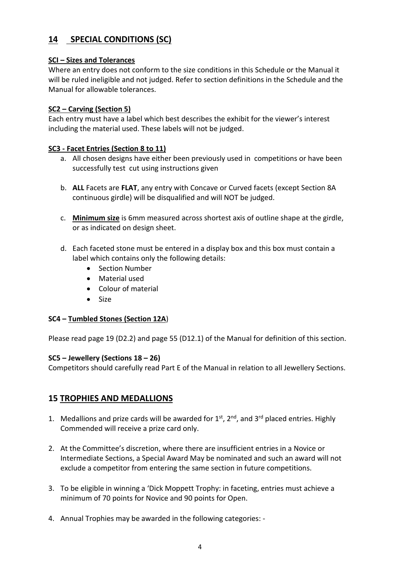# **14 SPECIAL CONDITIONS (SC)**

#### **SCI – Sizes and Tolerances**

Where an entry does not conform to the size conditions in this Schedule or the Manual it will be ruled ineligible and not judged. Refer to section definitions in the Schedule and the Manual for allowable tolerances.

#### **SC2 – Carving (Section 5)**

Each entry must have a label which best describes the exhibit for the viewer's interest including the material used. These labels will not be judged.

#### **SC3 - Facet Entries (Section 8 to 11)**

- a. All chosen designs have either been previously used in competitions or have been successfully test cut using instructions given
- b. **ALL** Facets are **FLAT**, any entry with Concave or Curved facets (except Section 8A continuous girdle) will be disqualified and will NOT be judged.
- c. **Minimum size** is 6mm measured across shortest axis of outline shape at the girdle, or as indicated on design sheet.
- d. Each faceted stone must be entered in a display box and this box must contain a label which contains only the following details:
	- Section Number
	- Material used
	- Colour of material
	- Size

#### **SC4 – Tumbled Stones (Section 12A**)

Please read page 19 (D2.2) and page 55 (D12.1) of the Manual for definition of this section.

#### **SC5 – Jewellery (Sections 18 – 26)**

Competitors should carefully read Part E of the Manual in relation to all Jewellery Sections.

### **15 TROPHIES AND MEDALLIONS**

- 1. Medallions and prize cards will be awarded for  $1<sup>st</sup>$ ,  $2<sup>nd</sup>$ , and  $3<sup>rd</sup>$  placed entries. Highly Commended will receive a prize card only.
- 2. At the Committee's discretion, where there are insufficient entries in a Novice or Intermediate Sections, a Special Award May be nominated and such an award will not exclude a competitor from entering the same section in future competitions.
- 3. To be eligible in winning a 'Dick Moppett Trophy: in faceting, entries must achieve a minimum of 70 points for Novice and 90 points for Open.
- 4. Annual Trophies may be awarded in the following categories: -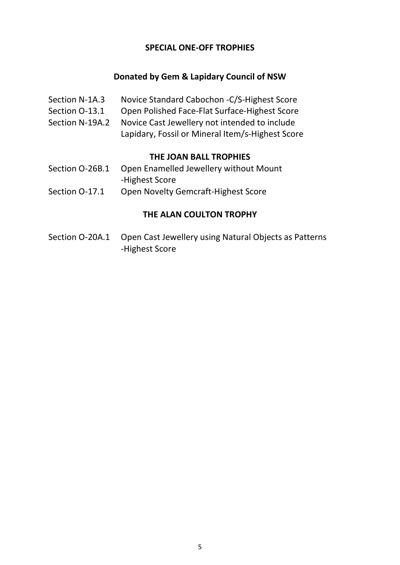#### **SPECIAL ONE-OFF TROPHIES**

#### **Donated by Gem & Lapidary Council of NSW**

- Section N-1A.3 Novice Standard Cabochon -C/S-Highest Score
- Section O-13.1 Open Polished Face-Flat Surface-Highest Score
- Section N-19A.2 Novice Cast Jewellery not intended to include
	- Lapidary, Fossil or Mineral Item/s-Highest Score

#### **THE JOAN BALL TROPHIES**

- Section O-26B.1 Open Enamelled Jewellery without Mount -Highest Score
- Section O-17.1 Open Novelty Gemcraft-Highest Score

#### **THE ALAN COULTON TROPHY**

Section O-20A.1 Open Cast Jewellery using Natural Objects as Patterns -Highest Score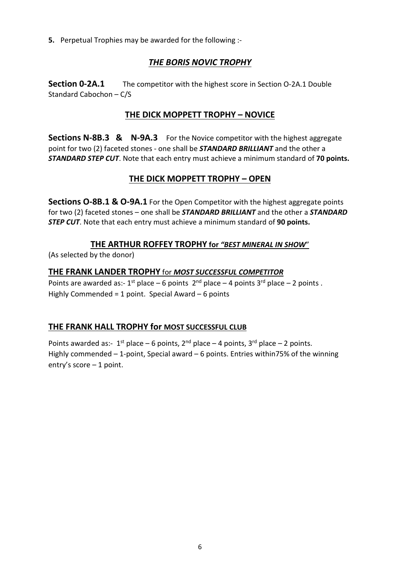**5.** Perpetual Trophies may be awarded for the following :-

# *THE BORIS NOVIC TROPHY*

**Section 0-2A.1** The competitor with the highest score in Section 0-2A.1 Double Standard Cabochon – C/S

# **THE DICK MOPPETT TROPHY – NOVICE**

**Sections N-8B.3 & N-9A.3** For the Novice competitor with the highest aggregate point for two (2) faceted stones - one shall be *STANDARD BRILLIANT* and the other a *STANDARD STEP CUT*. Note that each entry must achieve a minimum standard of **70 points.**

# **THE DICK MOPPETT TROPHY – OPEN**

**Sections O-8B.1 & O-9A.1** For the Open Competitor with the highest aggregate points for two (2) faceted stones – one shall be *STANDARD BRILLIANT* and the other a *STANDARD STEP CUT*. Note that each entry must achieve a minimum standard of **90 points.**

#### **THE ARTHUR ROFFEY TROPHY for** *"BEST MINERAL IN SHOW*"

(As selected by the donor)

#### **THE FRANK LANDER TROPHY** for *MOST SUCCESSFUL COMPETITOR*

Points are awarded as:-  $1^{st}$  place – 6 points  $2^{nd}$  place – 4 points  $3^{rd}$  place – 2 points . Highly Commended = 1 point. Special Award  $-6$  points

### **THE FRANK HALL TROPHY for MOST SUCCESSFUL CLUB**

Points awarded as:-  $1^{st}$  place – 6 points,  $2^{nd}$  place – 4 points,  $3^{rd}$  place – 2 points. Highly commended – 1-point, Special award – 6 points. Entries within75% of the winning entry's score – 1 point.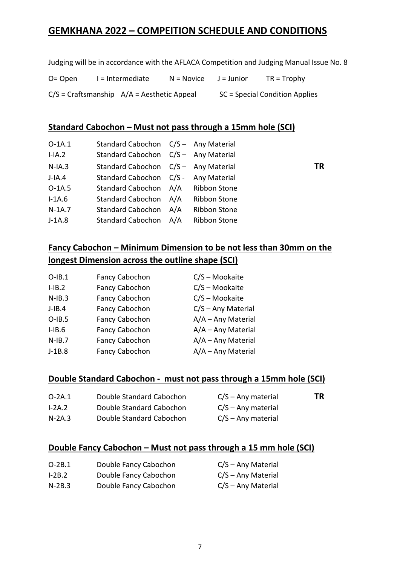# **GEMKHANA 2022 – COMPEITION SCHEDULE AND CONDITIONS**

Judging will be in accordance with the AFLACA Competition and Judging Manual Issue No. 8

O= Open  $I = Intermediate$  N = Novice J = Junior TR = Trophy  $C/S$  = Craftsmanship  $A/A$  = Aesthetic Appeal SC = Special Condition Applies

#### **Standard Cabochon – Must not pass through a 15mm hole (SCI)**

| $O-1A.1$  | Standard Cabochon C/S - Any Material |     |                     |    |
|-----------|--------------------------------------|-----|---------------------|----|
| $I-IA.2$  | Standard Cabochon C/S - Any Material |     |                     |    |
| $N$ -IA.3 | Standard Cabochon C/S - Any Material |     |                     | ΤR |
| $J$ -IA.4 | Standard Cabochon C/S - Any Material |     |                     |    |
| $O-1A.5$  | Standard Cabochon A/A Ribbon Stone   |     |                     |    |
| $I-1A.6$  | Standard Cabochon A/A                |     | <b>Ribbon Stone</b> |    |
| $N-1A.7$  | <b>Standard Cabochon</b>             | A/A | <b>Ribbon Stone</b> |    |
| $J-1A.8$  | Standard Cabochon A/A                |     | <b>Ribbon Stone</b> |    |

**Fancy Cabochon – Minimum Dimension to be not less than 30mm on the longest Dimension across the outline shape (SCI)**

| $O-IB.1$  | Fancy Cabochon | C/S - Mookaite       |
|-----------|----------------|----------------------|
| $I-IB.2$  | Fancy Cabochon | C/S - Mookaite       |
| $N-IB.3$  | Fancy Cabochon | C/S - Mookaite       |
| $J$ -IB.4 | Fancy Cabochon | $C/S - Any Material$ |
| $O-IB.5$  | Fancy Cabochon | A/A - Any Material   |
| $I-IB.6$  | Fancy Cabochon | A/A - Any Material   |
| $N-IB.7$  | Fancy Cabochon | A/A - Any Material   |
| $J-1B.8$  | Fancy Cabochon | A/A - Any Material   |
|           |                |                      |

#### **Double Standard Cabochon - must not pass through a 15mm hole (SCI)**

| $O-2A.1$ | Double Standard Cabochon | $C/S - Any material$ | ΤR |
|----------|--------------------------|----------------------|----|
| $I-2A.2$ | Double Standard Cabochon | $C/S - Any material$ |    |
| $N-2A.3$ | Double Standard Cabochon | $C/S - Any material$ |    |

#### **Double Fancy Cabochon – Must not pass through a 15 mm hole (SCI)**

| $O-2B.1$ | Double Fancy Cabochon | $C/S - Any Material$ |
|----------|-----------------------|----------------------|
| $I-2B.2$ | Double Fancy Cabochon | $C/S - Any Material$ |
| $N-2B.3$ | Double Fancy Cabochon | $C/S - Any Material$ |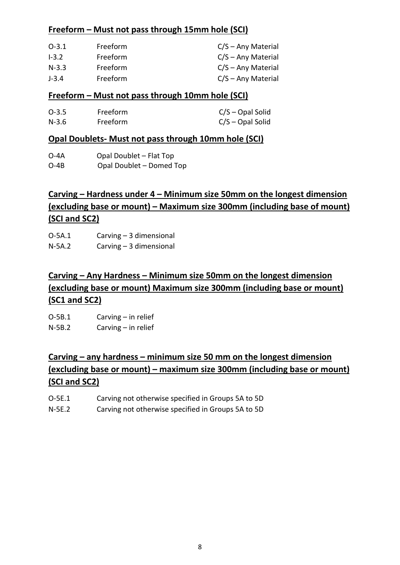#### **Freeform – Must not pass through 15mm hole (SCI)**

| $O-3.1$   | Freeform | $C/S - Any Material$ |
|-----------|----------|----------------------|
| $1 - 3.2$ | Freeform | $C/S - Any Material$ |
| $N-3.3$   | Freeform | $C/S - Any Material$ |
| $J - 3.4$ | Freeform | $C/S - Any Material$ |

#### **Freeform – Must not pass through 10mm hole (SCI)**

| $O-3.5$ | <b>Freeform</b> | $C/S$ – Opal Solid |
|---------|-----------------|--------------------|
| N-3.6   | Freeform        | $C/S$ – Opal Solid |

#### **Opal Doublets- Must not pass through 10mm hole (SCI)**

| 0-4A                | Opal Doublet - Flat Top |  |
|---------------------|-------------------------|--|
| $\bigcap$ $\bigcap$ | O(1)<br>$D = 2$         |  |

#### O-4B Opal Doublet – Domed Top

# **Carving – Hardness under 4 – Minimum size 50mm on the longest dimension (excluding base or mount) – Maximum size 300mm (including base of mount) (SCI and SC2)**

O-5A.1 Carving – 3 dimensional

N-5A.2 Carving – 3 dimensional

# **Carving – Any Hardness – Minimum size 50mm on the longest dimension (excluding base or mount) Maximum size 300mm (including base or mount) (SC1 and SC2)**

O-5B.1 Carving – in relief N-5B.2 Carving – in relief

# **Carving – any hardness – minimum size 50 mm on the longest dimension (excluding base or mount) – maximum size 300mm (including base or mount) (SCI and SC2)**

- O-5E.1 Carving not otherwise specified in Groups 5A to 5D
- N-5E.2 Carving not otherwise specified in Groups 5A to 5D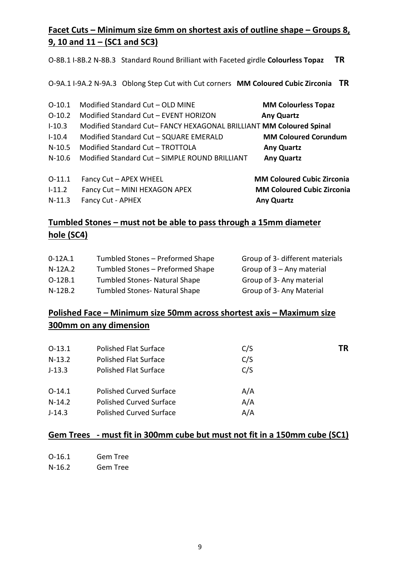# **Facet Cuts – Minimum size 6mm on shortest axis of outline shape – Groups 8, 9, 10 and 11 – (SC1 and SC3)**

O-8B.1 I-8B.2 N-8B.3 Standard Round Brilliant with Faceted girdle **Colourless Topaz TR** 

O-9A.1 I-9A.2 N-9A.3 Oblong Step Cut with Cut corners **MM Coloured Cubic Zirconia TR**

| $O-10.1$   | Modified Standard Cut - OLD MINE                                   | <b>MM Colourless Topaz</b>        |
|------------|--------------------------------------------------------------------|-----------------------------------|
| $0-10.2$   | Modified Standard Cut - EVENT HORIZON                              | <b>Any Quartz</b>                 |
| $1 - 10.3$ | Modified Standard Cut-FANCY HEXAGONAL BRILLIANT MM Coloured Spinal |                                   |
| $1 - 10.4$ | Modified Standard Cut - SQUARE EMERALD                             | <b>MM Coloured Corundum</b>       |
| $N-10.5$   | Modified Standard Cut - TROTTOLA                                   | <b>Any Quartz</b>                 |
| $N-10.6$   | Modified Standard Cut - SIMPLE ROUND BRILLIANT                     | <b>Any Quartz</b>                 |
| $0-11.1$   | Fancy Cut - APEX WHEEL                                             | <b>MM Coloured Cubic Zirconia</b> |
| $1 - 11.2$ | Fancy Cut - MINI HEXAGON APEX                                      | <b>MM Coloured Cubic Zirconia</b> |
| $N-11.3$   | <b>Fancy Cut - APHEX</b>                                           | <b>Any Quartz</b>                 |

# **Tumbled Stones – must not be able to pass through a 15mm diameter hole (SC4)**

| $0-12A.1$ | Tumbled Stones - Preformed Shape     | Group of 3- different materials |
|-----------|--------------------------------------|---------------------------------|
| $N-12A.2$ | Tumbled Stones - Preformed Shape     | Group of $3 -$ Any material     |
| $O-12B.1$ | <b>Tumbled Stones- Natural Shape</b> | Group of 3- Any material        |
| $N-12B.2$ | <b>Tumbled Stones- Natural Shape</b> | Group of 3- Any Material        |

# **Polished Face – Minimum size 50mm across shortest axis – Maximum size 300mm on any dimension**

| $O-13.1$ | <b>Polished Flat Surface</b>   | C/S | TR |
|----------|--------------------------------|-----|----|
| $N-13.2$ | <b>Polished Flat Surface</b>   | C/S |    |
| $J-13.3$ | <b>Polished Flat Surface</b>   | C/S |    |
|          |                                |     |    |
| $O-14.1$ | <b>Polished Curved Surface</b> | A/A |    |
| $N-14.2$ | <b>Polished Curved Surface</b> | A/A |    |
| $J-14.3$ | <b>Polished Curved Surface</b> | A/A |    |
|          |                                |     |    |

# **Gem Trees - must fit in 300mm cube but must not fit in a 150mm cube (SC1)**

| 0-16.1   | Gem Tree |
|----------|----------|
| $N-16.2$ | Gem Tree |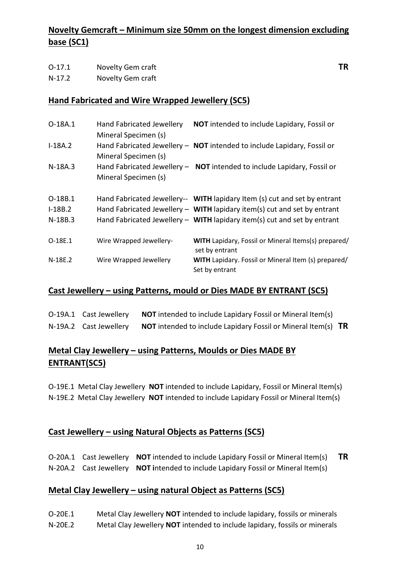# **Novelty Gemcraft – Minimum size 50mm on the longest dimension excluding base (SC1)**

| $0-17.1$ | Novelty Gem craft | ΤR |
|----------|-------------------|----|
| $N-17.2$ | Novelty Gem craft |    |

#### **Hand Fabricated and Wire Wrapped Jewellery (SC5)**

| O-18A.1   | Hand Fabricated Jewellery<br>Mineral Specimen (s) | NOT intended to include Lapidary, Fossil or                                  |
|-----------|---------------------------------------------------|------------------------------------------------------------------------------|
| $I-18A.2$ | Mineral Specimen (s)                              | Hand Fabricated Jewellery - NOT intended to include Lapidary, Fossil or      |
| $N-18A.3$ | Mineral Specimen (s)                              | Hand Fabricated Jewellery - NOT intended to include Lapidary, Fossil or      |
| O-18B.1   |                                                   | Hand Fabricated Jewellery-- WITH lapidary Item (s) cut and set by entrant    |
| $I-18B.2$ |                                                   | Hand Fabricated Jewellery - WITH lapidary item(s) cut and set by entrant     |
| N-18B.3   |                                                   | Hand Fabricated Jewellery - WITH lapidary item(s) cut and set by entrant     |
| O-18E.1   | Wire Wrapped Jewellery-                           | <b>WITH Lapidary, Fossil or Mineral Items(s) prepared/</b><br>set by entrant |
| $N-18E.2$ | Wire Wrapped Jewellery                            | WITH Lapidary. Fossil or Mineral Item (s) prepared/<br>Set by entrant        |

#### **Cast Jewellery – using Patterns, mould or Dies MADE BY ENTRANT (SC5)**

| O-19A.1 Cast Jewellery | <b>NOT</b> intended to include Lapidary Fossil or Mineral Item(s)           |  |
|------------------------|-----------------------------------------------------------------------------|--|
| N-19A.2 Cast Jewellery | <b>NOT</b> intended to include Lapidary Fossil or Mineral Item(s) <b>TR</b> |  |

### **Metal Clay Jewellery – using Patterns, Moulds or Dies MADE BY ENTRANT(SC5)**

O-19E.1 Metal Clay Jewellery **NOT** intended to include Lapidary, Fossil or Mineral Item(s) N-19E.2 Metal Clay Jewellery **NOT** intended to include Lapidary Fossil or Mineral Item(s)

#### **Cast Jewellery – using Natural Objects as Patterns (SC5)**

O-20A.1 Cast Jewellery **NOT** intended to include Lapidary Fossil or Mineral Item(s) **TR** N-20A.2 Cast Jewellery **NOT i**ntended to include Lapidary Fossil or Mineral Item(s)

#### **Metal Clay Jewellery – using natural Object as Patterns (SC5)**

O-20E.1 Metal Clay Jewellery **NOT** intended to include lapidary, fossils or minerals N-20E.2 Metal Clay Jewellery **NOT** intended to include lapidary, fossils or minerals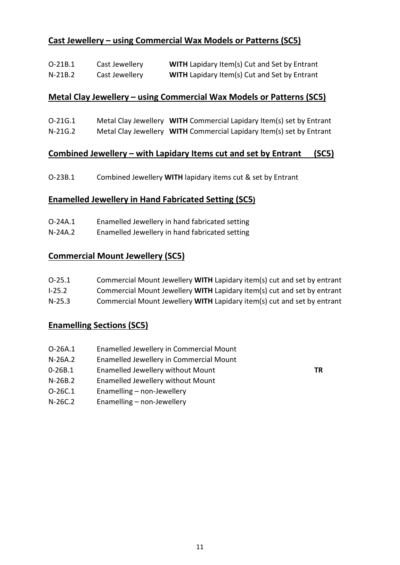# **Cast Jewellery – using Commercial Wax Models or Patterns (SC5)**

| $O-21B.1$ | Cast Jewellery | <b>WITH</b> Lapidary Item(s) Cut and Set by Entrant |
|-----------|----------------|-----------------------------------------------------|
| $N-21B.2$ | Cast Jewellery | <b>WITH</b> Lapidary Item(s) Cut and Set by Entrant |

#### **Metal Clay Jewellery – using Commercial Wax Models or Patterns (SC5)**

O-21G.1 Metal Clay Jewellery **WITH** Commercial Lapidary Item(s) set by Entrant N-21G.2 Metal Clay Jewellery **WITH** Commercial Lapidary Item(s) set by Entrant

#### **Combined Jewellery – with Lapidary Items cut and set by Entrant (SC5)**

O-23B.1 Combined Jewellery **WITH** lapidary items cut & set by Entrant

#### **Enamelled Jewellery in Hand Fabricated Setting (SC5)**

- O-24A.1 Enamelled Jewellery in hand fabricated setting
- N-24A.2 Enamelled Jewellery in hand fabricated setting

#### **Commercial Mount Jewellery (SC5)**

| Commercial Mount Jewellery WITH Lapidary item(s) cut and set by entrant<br>$0 - 25.1$ |  |
|---------------------------------------------------------------------------------------|--|
|---------------------------------------------------------------------------------------|--|

- I-25.2 Commercial Mount Jewellery **WITH** Lapidary item(s) cut and set by entrant
- N-25.3 Commercial Mount Jewellery **WITH** Lapidary item(s) cut and set by entrant

#### **Enamelling Sections (SC5)**

- O-26A.1 Enamelled Jewellery in Commercial Mount
- N-26A.2 Enamelled Jewellery in Commercial Mount
- 0-26B.1 Enamelled Jewellery without Mount **TR**
- N-26B.2 Enamelled Jewellery without Mount
- O-26C.1 Enamelling non-Jewellery
- N-26C.2 Enamelling non-Jewellery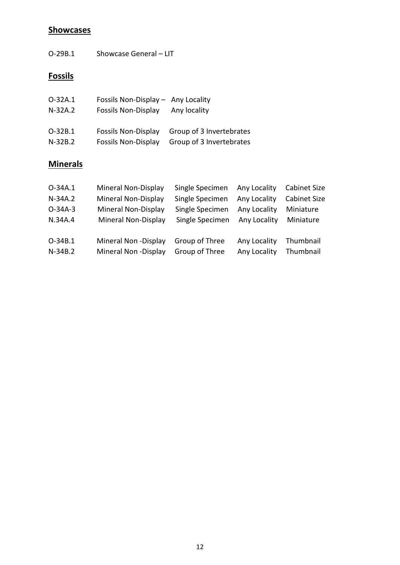# **Showcases**

O-29B.1 Showcase General – LIT

# **Fossils**

| $O-32A.1$ | Fossils Non-Display - Any Locality |                          |
|-----------|------------------------------------|--------------------------|
| $N-32A.2$ | <b>Fossils Non-Display</b>         | Any locality             |
|           |                                    |                          |
| O-32B.1   | <b>Fossils Non-Display</b>         | Group of 3 Invertebrates |
| $N-32B.2$ | <b>Fossils Non-Display</b>         | Group of 3 Invertebrates |

# **Minerals**

| O-34A.1   | Mineral Non-Display | Single Specimen | Any Locality | <b>Cabinet Size</b> |
|-----------|---------------------|-----------------|--------------|---------------------|
| $N-34A.2$ | Mineral Non-Display | Single Specimen | Any Locality | <b>Cabinet Size</b> |
| $O-34A-3$ | Mineral Non-Display | Single Specimen | Any Locality | Miniature           |
| N.34A.4   | Mineral Non-Display | Single Specimen | Any Locality | Miniature           |
| $O-34B.1$ | Mineral Non-Display | Group of Three  | Any Locality | Thumbnail           |
| $N-34B.2$ | Mineral Non-Display | Group of Three  | Any Locality | Thumbnail           |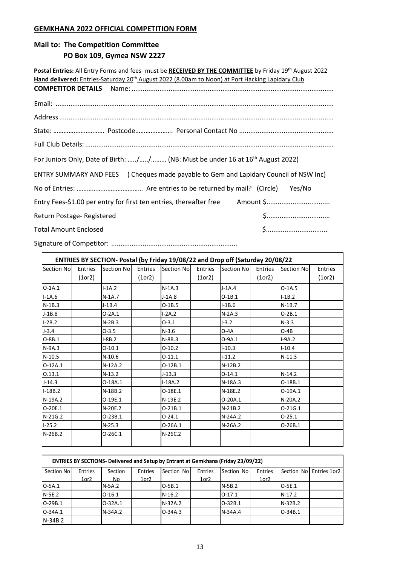#### **GEMKHANA 2022 OFFICIAL COMPETITION FORM**

#### **Mail to: The Competition Committee**

#### **PO Box 109, Gymea NSW 2227**

Postal Entries: All Entry Forms and fees- must be RECEIVED BY THE COMMITTEE by Friday 19<sup>th</sup> August 2022 Hand delivered: Entries-Saturday 20<sup>th</sup> August 2022 (8.00am to Noon) at Port Hacking Lapidary Club **COMPETITOR DETAILS** Name: ............................................................................................................. Email: ...................................................................................................................................................... Address.................................................................................................................................................... State: ………………………… Postcode…………………. Personal Contact No ................................................... Full Club Details: ...................................................................................................................................... For Juniors Only, Date of Birth: ...../...../......... (NB: Must be under 16 at 16<sup>th</sup> August 2022) ENTRY SUMMARY AND FEES ( Cheques made payable to Gem and Lapidary Council of NSW Inc) No of Entries: ………………………………… Are entries to be returned by mail? (Circle) Yes/No Entry Fees-\$1.00 per entry for first ten entries, thereafter free Amount \$.................................. Return Postage- Registered **by a statement of the Contract Contract Contract Contract Contract Contract Contract Contract Contract Contract Contract Contract Contract Contract Contract Contract Contract Contract Contract C** Total Amount Enclosed \$.................................

Signature of Competitor: ....................................................................

|            |          |            |          |            |          | ENTRIES BY SECTION- Postal (by Friday 19/08/22 and Drop off (Saturday 20/08/22 |          |             |                |
|------------|----------|------------|----------|------------|----------|--------------------------------------------------------------------------------|----------|-------------|----------------|
| Section No | Entries  | Section No | Entries  | Section No | Entries  | <b>Section Nol</b>                                                             | Entries  | Section Nol | <b>Entries</b> |
|            | (1 or 2) |            | (1 or 2) |            | (1 or 2) |                                                                                | (1 or 2) |             | (1 or 2)       |
| $O-1A.1$   |          | $I-1A.2$   |          | $N-1A.3$   |          | $J-1A.4$                                                                       |          | $O-1A.5$    |                |
| $I-1A.6$   |          | $N-1A.7$   |          | $J-1A.8$   |          | $O-1B.1$                                                                       |          | $I-1B.2$    |                |
| $N-1B.3$   |          | $J-1B.4$   |          | $O-1B.5$   |          | $I-1B.6$                                                                       |          | $N-1B.7$    |                |
| $J-1B.8$   |          | $O-2A.1$   |          | $I-2A.2$   |          | $N-2A.3$                                                                       |          | $O-2B.1$    |                |
| $I-2B.2$   |          | $N-2B.3$   |          | $0 - 3.1$  |          | $1 - 3.2$                                                                      |          | $N-3.3$     |                |
| $J - 3.4$  |          | $O-3.5$    |          | $N-3.6$    |          | $O-4A$                                                                         |          | $O-4B$      |                |
| $O-8B.1$   |          | $I-8B.2$   |          | $N-8B.3$   |          | $O-9A.1$                                                                       |          | $I-9A.2$    |                |
| N-9A.3     |          | $0 - 10.1$ |          | $O-10.2$   |          | $I-10.3$                                                                       |          | $I-10.4$    |                |
| $N-10.5$   |          | $N-10.6$   |          | $0-11.1$   |          | $I-11.2$                                                                       |          | $N-11.3$    |                |
| $O-12A.1$  |          | $N-12A.2$  |          | $O-12B.1$  |          | $N-12B.2$                                                                      |          |             |                |
| 0.13.1     |          | $N-13.2$   |          | $J-13.3$   |          | $0-14.1$                                                                       |          | N-14.2      |                |
| $J-14.3$   |          | $O-18A.1$  |          | $I-18A.2$  |          | N-18A.3                                                                        |          | O-18B.1     |                |
| $I-18B.2$  |          | N-18B.2    |          | O-18E.1    |          | N-18E.2                                                                        |          | O-19A.1     |                |
| N-19A.2    |          | O-19E.1    |          | N-19E.2    |          | $O-20A.1$                                                                      |          | N-20A.2     |                |
| O-20E.1    |          | N-20E.2    |          | $O-21B.1$  |          | $N-21B.2$                                                                      |          | $O-21G.1$   |                |
| N-21G.2    |          | $O-23B.1$  |          | $0 - 24.1$ |          | N-24A.2                                                                        |          | $0 - 25.1$  |                |
| $I-25.2$   |          | $N-25.3$   |          | $O-26A.1$  |          | $N-26A.2$                                                                      |          | $O-26B.1$   |                |
| N-26B.2    |          | $O-26C.1$  |          | N-26C.2    |          |                                                                                |          |             |                |
|            |          |            |          |            |          |                                                                                |          |             |                |

|            |                |               |            | <b>ENTRIES BY SECTIONS- Delivered and Setup by Entrant at Gemkhana (Friday 23/09/22)</b> |                  |             |            |            |                |
|------------|----------------|---------------|------------|------------------------------------------------------------------------------------------|------------------|-------------|------------|------------|----------------|
| Section No | <b>Entries</b> | Section       | Entries    | Section Nol                                                                              | Entries          | Section No! | Entries    | Section No | l Entries 1or2 |
|            | $1$ or $2$     | No            | $1$ or $2$ |                                                                                          | 1or <sub>2</sub> |             | $1$ or $2$ |            |                |
| $O-5A.1$   |                | <b>N-5A.2</b> |            | IO-5B.1                                                                                  |                  | N-5B.2      |            | $IO-5E.1$  |                |
| $N-5E.2$   |                | $O-16.1$      |            | $N-16.2$                                                                                 |                  | $ O-17.1$   |            | $N-17.2$   |                |
| $O-29B.1$  |                | IO-32A.1      |            | N-32A.2                                                                                  |                  | O-32B.1     |            | $N-32B.2$  |                |
| $O-34A.1$  |                | N-34A.2       |            | $O-34A.3$                                                                                |                  | N-34A.4     |            | $IO-34B.1$ |                |
| $N-34B.2$  |                |               |            |                                                                                          |                  |             |            |            |                |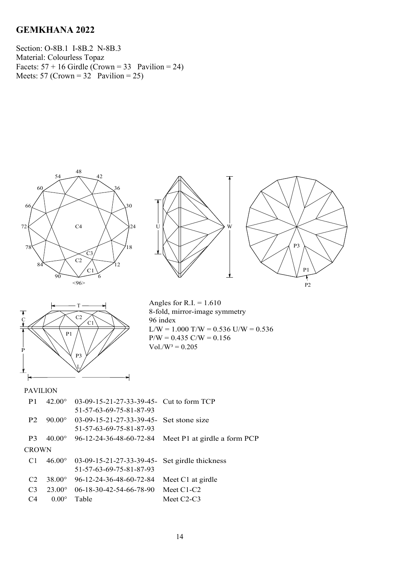Section: O-8B.1 I-8B.2 N-8B.3 Material: Colourless Topaz Facets:  $57 + 16$  Girdle (Crown = 33 Pavilion = 24) Meets: 57 (Crown =  $32$ ) Pavilion = 25)









Angles for R.I.  $= 1.610$ 8-fold, mirror-image symmetry 96 index  $L/W = 1.000$  T/W = 0.536 U/W = 0.536  $P/W = 0.435$  C/W = 0.156  $Vol./W^3 = 0.205$ 

| P <sub>1</sub> | $42.00^{\circ}$ | $03-09-15-21-27-33-39-45$ - Cut to form TCP<br>51-57-63-69-75-81-87-93   |                              |
|----------------|-----------------|--------------------------------------------------------------------------|------------------------------|
| P <sub>2</sub> | $90.00^{\circ}$ | 03-09-15-21-27-33-39-45- Set stone size<br>51-57-63-69-75-81-87-93       |                              |
| P3             | $40.00^{\circ}$ | 96-12-24-36-48-60-72-84                                                  | Meet P1 at girdle a form PCP |
| <b>CROWN</b>   |                 |                                                                          |                              |
| C <sub>1</sub> | $46.00^{\circ}$ | 03-09-15-21-27-33-39-45- Set girdle thickness<br>51-57-63-69-75-81-87-93 |                              |
| C2             | $38.00^{\circ}$ | 96-12-24-36-48-60-72-84                                                  | Meet C1 at girdle            |
| C <sub>3</sub> | $23.00^{\circ}$ | $06-18-30-42-54-66-78-90$                                                | Meet $C1-C2$                 |
| C <sub>4</sub> | $0.00^\circ$    | Table                                                                    | Meet $C2-C3$                 |
|                |                 |                                                                          |                              |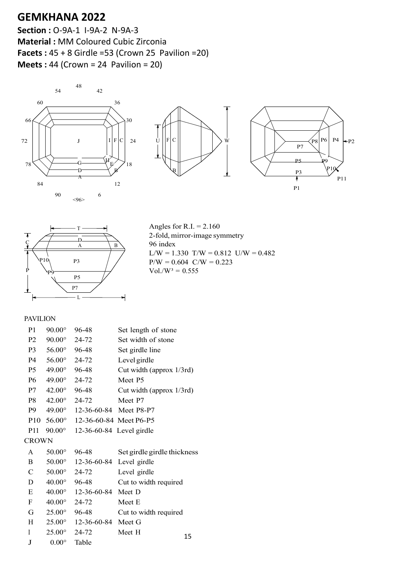**Section :** O-9A-1 I-9A-2 N-9A-3 **Material :** MM Coloured Cubic Zirconia **Facets :** 45 + 8 Girdle =53 (Crown 25 Pavilion =20) **Meets :** 44 (Crown = 24 Pavilion = 20)









Angles for R.I.  $= 2.160$ 2-fold, mirror-image symmetry 96 index  $L/W = 1.330$  T/W = 0.812 U/W = 0.482  $P/W = 0.604$  C/W = 0.223  $Vol./W^3 = 0.555$ 

| P <sub>1</sub>  | $90.00^\circ$ | 96-48                    | Set length of stone         |
|-----------------|---------------|--------------------------|-----------------------------|
| P <sub>2</sub>  | $90.00^\circ$ | 24-72                    | Set width of stone          |
| P <sub>3</sub>  | $56.00^\circ$ | 96-48                    | Set girdle line             |
| P <sub>4</sub>  | $56.00^\circ$ | 24-72                    | Level girdle                |
| P <sub>5</sub>  | $49.00^\circ$ | 96-48                    | Cut width (approx 1/3rd)    |
| <b>P6</b>       | $49.00^\circ$ | $24 - 72$                | Meet P5                     |
| P7              | $42.00^\circ$ | 96-48                    | Cut width (approx 1/3rd)    |
| P8              | $42.00^\circ$ | 24-72                    | Meet P7                     |
| P9              | $49.00^\circ$ | 12-36-60-84 Meet P8-P7   |                             |
| P <sub>10</sub> | $56.00^\circ$ | 12-36-60-84 Meet P6-P5   |                             |
| P11             | $90.00^\circ$ | 12-36-60-84 Level girdle |                             |
| <b>CROWN</b>    |               |                          |                             |
| A               | $50.00^\circ$ | 96-48                    | Set girdle girdle thickness |
| B               | $50.00^\circ$ | 12-36-60-84              | Level girdle                |
| $\mathsf{C}$    | $50.00^\circ$ | 24-72                    | Level girdle                |
| D               | $40.00^\circ$ | 96-48                    | Cut to width required       |
| E               | $40.00^\circ$ | 12-36-60-84              | Meet D                      |
| F               | $40.00^\circ$ | 24-72                    | Meet E                      |
| G               | $25.00^\circ$ | 96-48                    | Cut to width required       |
| H               | $25.00^\circ$ | 12-36-60-84              | Meet G                      |
| I               | $25.00^\circ$ | 24-72                    | Meet H<br>15                |
| J               | $0.00^\circ$  | Table                    |                             |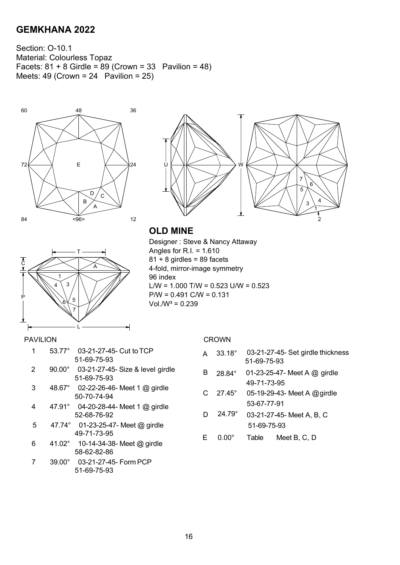Section: O-10.1 Material: Colourless Topaz Facets:  $81 + 8$  Girdle =  $89$  (Crown = 33 Pavilion = 48) Meets:  $49$  (Crown = 24 Pavilion = 25)







T  $\sim$   $\sim$   $\sim$ 1 4  $\setminus$  3 P  $6\sqrt{5}$ 7 L

Designer : Steve & Nancy Attaway Angles for R.I. =  $1.610$  $81 + 8$  girdles = 89 facets 4-fold, mirror-image symmetry 96 index L/W =  $1.000$  T/W =  $0.523$  U/W =  $0.523$ P/W = 0.491 C/W = 0.131  $Vol.W^3 = 0.239$ 

#### PAVILION

| 1 | $53.77^{\circ}$ | 03-21-27-45- Cut to TCP<br>51-69-75-93          |
|---|-----------------|-------------------------------------------------|
| 2 | $90.00^\circ$   | 03-21-27-45- Size & level girdle<br>51-69-75-93 |
| 3 | $48.67^\circ$   | 02-22-26-46- Meet 1 @ girdle<br>50-70-74-94     |
| 4 | $47.91^\circ$   | 04-20-28-44- Meet 1 @ girdle<br>52-68-76-92     |
| 5 | 47.74°          | 01-23-25-47- Meet $@$ girdle<br>49-71-73-95     |
| 6 | $41.02^\circ$   | 10-14-34-38- Meet @ girdle<br>58-62-82-86       |
| 7 | $39.00^\circ$   | 03-21-27-45- Form PCP<br>51-69-75-93            |

| <b>CROWN</b> |
|--------------|
|--------------|

|  | $A$ 33.18° 03-21-27-45- Set girdle thickness |
|--|----------------------------------------------|
|  | 51-69-75-93                                  |

B 28.84° 01-23-25-47- Meet A @ girdle 49-71-73-95

C 27.45° 05-19-29-43- Meet A @girdle 53-67-77-91

- D 24.79° 03-21-27-45- Meet A, B, C 51-69-75-93
- E 0.00° Table Meet B, C, D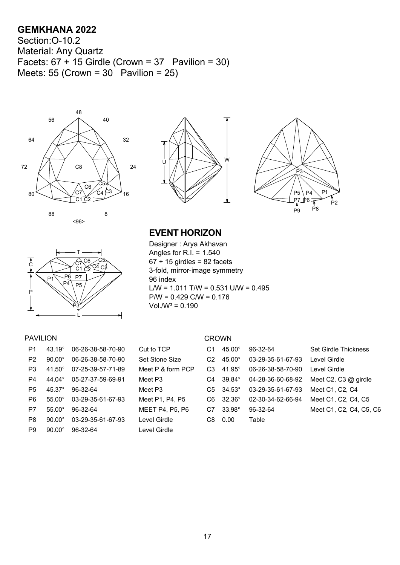Section:O-10.2 Material: Any Quartz Facets:  $67 + 15$  Girdle (Crown = 37 Pavilion = 30) Meets: 55 (Crown =  $30^{\circ}$  Pavilion = 25)









# **EVENT HORIZON**

Designer : Arya Akhavan Angles for R.I. = 1.540  $67 + 15$  girdles = 82 facets 3-fold, mirror-image symmetry 96 index L/W =  $1.011$  T/W =  $0.531$  U/W =  $0.495$ P/W = 0.429 C/W = 0.176  $Vol.W^3 = 0.190$ 

#### PAVILION CROWN

| P <sub>1</sub> | $43.19^{\circ}$  | 06-26-38-58-70-90 | Cut to TCP     |
|----------------|------------------|-------------------|----------------|
| P <sub>2</sub> | $90.00^\circ$    | 06-26-38-58-70-90 | Set Stone Si   |
| P3             | $41.50^\circ$    | 07-25-39-57-71-89 | Meet $P$ & for |
| P <sub>4</sub> | 44.04 $^{\circ}$ | 05-27-37-59-69-91 | Meet P3        |
| P <sub>5</sub> | $45.37^{\circ}$  | 96-32-64          | Meet P3        |
| P6             | $55.00^{\circ}$  | 03-29-35-61-67-93 | Meet P1, P4    |
| P7             | $55.00^{\circ}$  | 96-32-64          | MEET P4. P     |
| P8             | $90.00^\circ$    | 03-29-35-61-67-93 | Level Girdle   |
| P9             | $90.00^{\circ}$  | 96-32-64          | Level Girdle   |

| Р1. | $43.19^{\circ}$ | 06-26-38-58-70-90         | Cut to TCP             | C1  | $45.00^\circ$          | 96-32-64          | <b>Set Girdle Thickness</b> |
|-----|-----------------|---------------------------|------------------------|-----|------------------------|-------------------|-----------------------------|
| P2. | $90.00^{\circ}$ | 06-26-38-58-70-90         | Set Stone Size         | C2  | $45.00^\circ$          | 03-29-35-61-67-93 | Level Girdle                |
| P3. | 41.50°          | 07-25-39-57-71-89         | Meet P & form PCP      | C3  | 41.95 $^{\circ}$       | 06-26-38-58-70-90 | Level Girdle                |
| P4  | $44.04^\circ$   | 05-27-37-59-69-91         | Meet P3                |     | $C4$ 39.84 $^{\circ}$  | 04-28-36-60-68-92 | Meet C2, C3 $@$ girdle      |
| P5. | $45.37^{\circ}$ | 96-32-64                  | Meet P3                |     | $C5 \quad 34.53^\circ$ | 03-29-35-61-67-93 | Meet C1, C2, C4             |
| P6. | $55.00^{\circ}$ | 03-29-35-61-67-93         | Meet P1, P4, P5        |     | $C6 \quad 32.36^\circ$ | 02-30-34-62-66-94 | Meet C1, C2, C4, C5         |
| P7. | $55.00^\circ$   | 96-32-64                  | <b>MEET P4, P5, P6</b> | C7  | $33.98^\circ$          | 96-32-64          | Meet C1, C2, C4, C5, C6     |
| P8  | $90.00^\circ$   | 03-29-35-61-67-93         | Level Girdle           | C8. | 0.00                   | Table             |                             |
|     |                 | <b>BO 00.000 00.00.01</b> |                        |     |                        |                   |                             |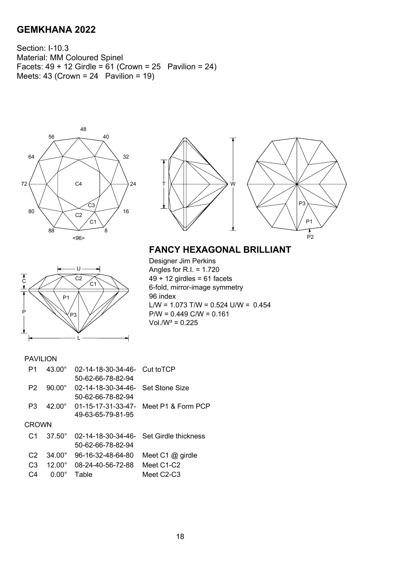Section: I-10.3 Material: MM Coloured Spinel Facets:  $49 + 12$  Girdle =  $61$  (Crown = 25 Pavilion = 24) Meets:  $43$  (Crown =  $24$  Pavilion = 19)





# U  $\sim$   $\sim$   $\sim$   $\sim$   $\sim$   $\sim$   $\sim$ C1 P1 P  $\vee$ P3 L

**FANCY HEXAGONAL BRILLIANT**

Designer Jim Perkins Angles for R.I. = 1.720  $49 + 12$  girdles = 61 facets 6-fold, mirror-image symmetry 96 index L/W =  $1.073$  T/W =  $0.524$  U/W =  $0.454$ P/W = 0.449 C/W = 0.161  $Vol.W^3 = 0.225$ 

| P1             | 43.00°          | 02-14-18-30-34-46- Cut to TCP     |                                         |
|----------------|-----------------|-----------------------------------|-----------------------------------------|
|                |                 | 50-62-66-78-82-94                 |                                         |
| P2             | $90.00^{\circ}$ | 02-14-18-30-34-46- Set Stone Size |                                         |
|                |                 | 50-62-66-78-82-94                 |                                         |
| P3             | $42.00^{\circ}$ |                                   | 01-15-17-31-33-47- Meet P1 & Form PCP   |
|                |                 | 49-63-65-79-81-95                 |                                         |
| CROWN          |                 |                                   |                                         |
| C <sub>1</sub> | $37.50^{\circ}$ |                                   | 02-14-18-30-34-46- Set Girdle thickness |
|                |                 | 50-62-66-78-82-94                 |                                         |
| C <sub>2</sub> | $34.00^{\circ}$ | 96-16-32-48-64-80                 | Meet C1 $@$ girdle                      |
| C <sub>3</sub> | $12.00^{\circ}$ | 08-24-40-56-72-88                 | Meet C1-C2                              |
| C:4            | $0.00^\circ$    | Table                             | Meet $C2-C3$                            |
|                |                 |                                   |                                         |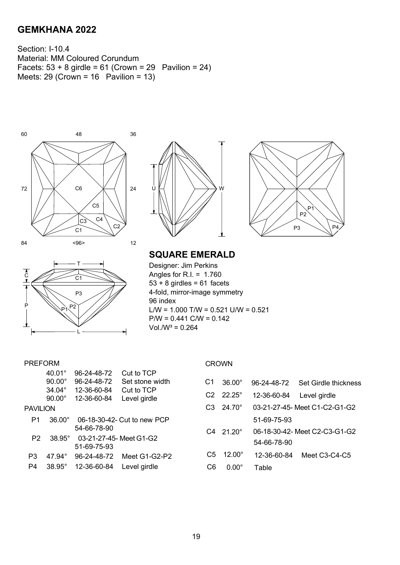Section: I-10.4 Material: MM Coloured Corundum Facets:  $53 + 8$  girdle =  $61$  (Crown = 29 Pavilion = 24) Meets: 29 (Crown = 16 Pavilion = 13)









**SQUARE EMERALD**

Designer: Jim Perkins Angles for R.I. =  $1.760$  $53 + 8$  girdles = 61 facets 4-fold, mirror-image symmetry 96 index L/W =  $1.000$  T/W =  $0.521$  U/W =  $0.521$  $P/W = 0.441$  C/W = 0.142  $Vol. /W^3 = 0.264$ 

#### PREFORM

|                 | $40.01^\circ$                  | 96-24-48-72                | Cut to TCP                  |                |                 |             |                              |
|-----------------|--------------------------------|----------------------------|-----------------------------|----------------|-----------------|-------------|------------------------------|
|                 | $90.00^\circ$                  | 96-24-48-72                | Set stone width             | C1             | $36.00^\circ$   | 96-24-48-72 | Set Girdle thickn            |
|                 | $34.04^\circ$<br>$90.00^\circ$ | 12-36-60-84<br>12-36-60-84 | Cut to TCP<br>Level girdle  | C2             | $22.25^\circ$   | 12-36-60-84 | Level girdle                 |
| <b>PAVILION</b> |                                |                            |                             | C <sub>3</sub> | $24.70^{\circ}$ |             | 03-21-27-45- Meet C1-C2-G1-G |
| P1              | $36.00^\circ$                  | 54-66-78-90                | 06-18-30-42- Cut to new PCP |                |                 | 51-69-75-93 |                              |
| P <sub>2</sub>  | $38.95^{\circ}$                | 03-21-27-45- Meet G1-G2    |                             | C <sub>4</sub> | $21.20^\circ$   |             | 06-18-30-42- Meet C2-C3-G1-G |
|                 |                                | 51-69-75-93                |                             |                |                 | 54-66-78-90 |                              |
| P <sub>3</sub>  | $47.94^{\circ}$                | 96-24-48-72                | Meet G1-G2-P2               | C <sub>5</sub> | $12.00^{\circ}$ | 12-36-60-84 | Meet C3-C4-C5                |
| P4              | 38.95°                         | 12-36-60-84                | Level girdle                | C6             | $0.00^\circ$    | Table       |                              |

#### CROWN

| C1             | $36.00^{\circ}$          |                          | 96-24-48-72 Set Girdle thickness |
|----------------|--------------------------|--------------------------|----------------------------------|
|                | $C2 \t22.25^\circ$       | 12-36-60-84 Level girdle |                                  |
|                | $C3 \quad 24.70^{\circ}$ |                          | 03-21-27-45- Meet C1-C2-G1-G2    |
|                |                          | 51-69-75-93              |                                  |
|                | $C4 \quad 21.20^\circ$   |                          | 06-18-30-42- Meet C2-C3-G1-G2    |
|                |                          | 54-66-78-90              |                                  |
| C <sub>5</sub> | $12.00^{\circ}$          | 12-36-60-84              | Meet C3-C4-C5                    |
| C6             | $0.00^\circ$             | Table                    |                                  |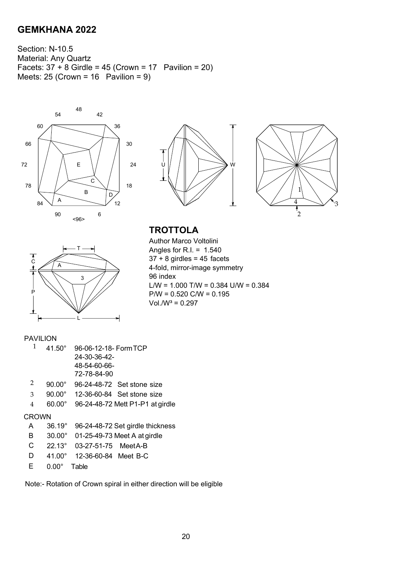Section: N-10.5 Material: Any Quartz Facets:  $37 + 8$  Girdle =  $45$  (Crown =  $17$  Pavilion =  $20$ ) Meets:  $25$  (Crown = 16 Pavilion = 9)









**TROTTOLA**

Author Marco Voltolini Angles for R.I. =  $1.540$  $37 + 8$  girdles = 45 facets 4-fold, mirror-image symmetry 96 index L/W =  $1.000$  T/W =  $0.384$  U/W =  $0.384$ P/W = 0.520 C/W = 0.195  $Vol.W^3 = 0.297$ 

#### PAVILION

|   | $41.50^{\circ}$ | 96-06-12-18- Form TCP            |
|---|-----------------|----------------------------------|
|   |                 | 24-30-36-42-                     |
|   |                 | 48-54-60-66-                     |
|   |                 | 72-78-84-90                      |
| 2 | $90.00^{\circ}$ | 96-24-48-72 Set stone size       |
| 3 | $90.00^{\circ}$ | 12-36-60-84 Set stone size       |
| 4 | 60.00°          | 96-24-48-72 Mett P1-P1 at girdle |
|   |                 |                                  |

#### CROWN

| A | 36.19° 96-24-48-72 Set girdle thickness |
|---|-----------------------------------------|
|   |                                         |

- B 30.00° 01-25-49-73 Meet A at girdle
- C 22.13° 03-27-51-75 MeetA-B
- D 41.00° 12-36-60-84 Meet B-C
- E 0.00° Table

Note:- Rotation of Crown spiral in either direction will be eligible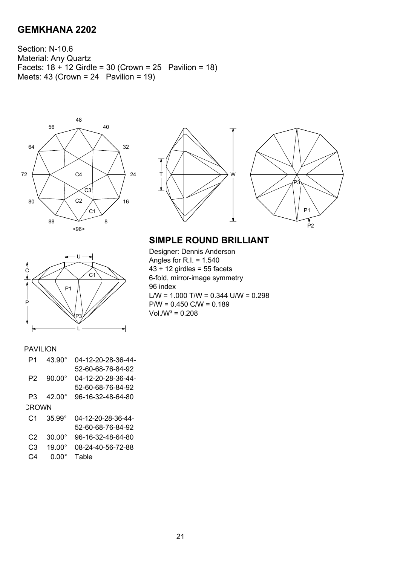Section: N-10.6 Material: Any Quartz Facets:  $18 + 12$  Girdle = 30 (Crown = 25 Pavilion = 18) Meets:  $43$  (Crown =  $24$  Pavilion = 19)



U

P3 L

P1

C1





## **SIMPLE ROUND BRILLIANT**

Designer: Dennis Anderson Angles for R.I. = 1.540  $43 + 12$  girdles = 55 facets 6-fold, mirror-image symmetry 96 index L/W =  $1.000$  T/W =  $0.344$  U/W =  $0.298$ P/W = 0.450 C/W = 0.189  $Vol.W^3 = 0.208$ 

#### PAVILION

 $\overline{C}$ 

P

| P1    | $43.90^{\circ}$ | 04-12-20-28-36-44- |
|-------|-----------------|--------------------|
|       |                 | 52-60-68-76-84-92  |
| P2    | $90.00^{\circ}$ | 04-12-20-28-36-44- |
|       |                 | 52-60-68-76-84-92  |
| P3    | $42.00^{\circ}$ | 96-16-32-48-64-80  |
| CROWN |                 |                    |
| C1    | $35.99^{\circ}$ | 04-12-20-28-36-44- |
|       |                 | 52-60-68-76-84-92  |
| C2    | $30.00^{\circ}$ | 96-16-32-48-64-80  |
| CЗ    | $19.00^{\circ}$ | 08-24-40-56-72-88  |
| C4    | 0.00°           | Table              |
|       |                 |                    |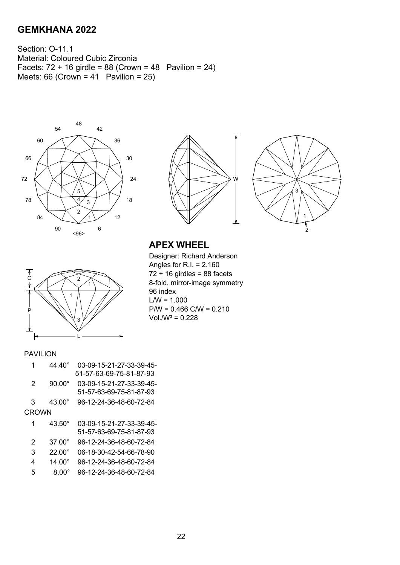Section: O-11.1 Material: Coloured Cubic Zirconia Facets:  $72 + 16$  girdle = 88 (Crown = 48 Pavilion = 24) Meets:  $66$  (Crown =  $41$  Pavilion =  $25$ )







# **APEX WHEEL**

Designer: Richard Anderson Angles for R.I. = 2.160  $72 + 16$  girdles = 88 facets 8-fold, mirror-image symmetry 96 index  $L/W = 1.000$  $P/W = 0.466$  C/W = 0.210  $Vol.N^3 = 0.228$ 

#### PAVILION

P

C  $\bigwedge$  2

1

3

L

|                | 44.40°          | 03-09-15-21-27-33-39-45- |
|----------------|-----------------|--------------------------|
|                |                 | 51-57-63-69-75-81-87-93  |
| 2              | $90.00^{\circ}$ | 03-09-15-21-27-33-39-45- |
|                |                 | 51-57-63-69-75-81-87-93  |
| 3              | $43.00^\circ$   | 96-12-24-36-48-60-72-84  |
| CROWN          |                 |                          |
| 1              | $43.50^{\circ}$ | 03-09-15-21-27-33-39-45- |
|                |                 | 51-57-63-69-75-81-87-93  |
| $\overline{2}$ | $37.00^{\circ}$ | 96-12-24-36-48-60-72-84  |
| 3              | $22.00^{\circ}$ | 06-18-30-42-54-66-78-90  |
| 4              | $14.00^\circ$   | 96-12-24-36-48-60-72-84  |
| 5              | $8.00^\circ$    | 96-12-24-36-48-60-72-84  |
|                |                 |                          |

1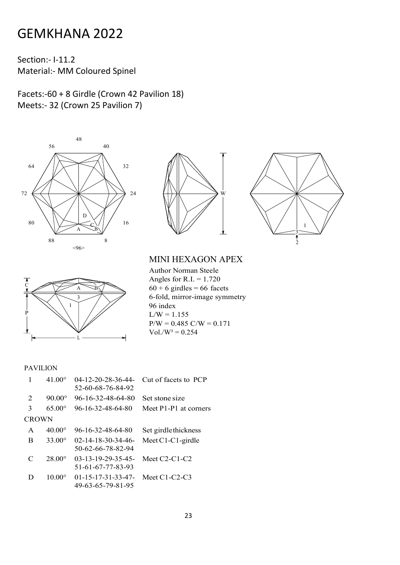Section:‐ I‐11.2 Material:‐ MM Coloured Spinel

Facets:‐60 + 8 Girdle (Crown 42 Pavilion 18) Meets:‐ 32 (Crown 25 Pavilion 7)









MINI HEXAGON APEX

Author Norman Steele Angles for  $R.I. = 1.720$  $60 + 6$  girdles = 66 facets 6-fold, mirror-image symmetry 96 index  $L/W = 1.155$  $P/W = 0.485 \text{ C/W} = 0.171$  $Vol./W^3 = 0.254$ 

|              | $41.00^{\circ}$ | $04 - 12 - 20 - 28 - 36 - 44$<br>52-60-68-76-84-92 | Cut of facets to PCP  |
|--------------|-----------------|----------------------------------------------------|-----------------------|
| 2            | $90.00^{\circ}$ | 96-16-32-48-64-80                                  | Set stone size        |
| 3            | $65.00^{\circ}$ | 96-16-32-48-64-80                                  | Meet P1-P1 at corners |
| <b>CROWN</b> |                 |                                                    |                       |
| A            | $40.00^{\circ}$ | 96-16-32-48-64-80                                  | Set girdle thickness  |
| B            | $33.00^{\circ}$ | $02 - 14 - 18 - 30 - 34 - 46$<br>50-62-66-78-82-94 | Meet $C1-C1$ -girdle  |
| C            | $28.00^{\circ}$ | $03 - 13 - 19 - 29 - 35 - 45$<br>51-61-67-77-83-93 | Meet $C2-C1-C2$       |
| D            | $10.00^\circ$   | $01 - 15 - 17 - 31 - 33 - 47$<br>49-63-65-79-81-95 | Meet $C1-C2-C3$       |